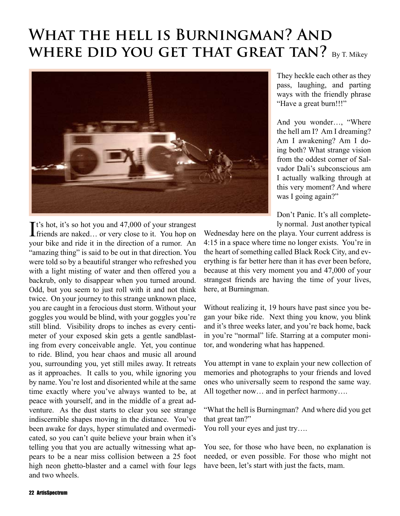## **What the hell is Burningman? And**  WHERE DID YOU GET THAT GREAT TAN? By T. Mikey



They heckle each other as they pass, laughing, and parting ways with the friendly phrase "Have a great burn!!!"

And you wonder…, "Where the hell am I? Am I dreaming? Am I awakening? Am I doing both? What strange vision from the oddest corner of Salvador Dali's subconscious am I actually walking through at this very moment? And where was I going again?"

Don't Panic. It's all completely normal. Just another typical

Wednesday here on the playa. Your current address is 4:15 in a space where time no longer exists. You're in the heart of something called Black Rock City, and everything is far better here than it has ever been before, because at this very moment you and 47,000 of your strangest friends are having the time of your lives, here, at Burningman.

Without realizing it, 19 hours have past since you began your bike ride. Next thing you know, you blink and it's three weeks later, and you're back home, back in you're "normal" life. Starring at a computer monitor, and wondering what has happened.

You attempt in vane to explain your new collection of memories and photographs to your friends and loved ones who universally seem to respond the same way. All together now… and in perfect harmony….

"What the hell is Burningman? And where did you get that great tan?"

You roll your eyes and just try....

You see, for those who have been, no explanation is needed, or even possible. For those who might not have been, let's start with just the facts, mam.

It's hot, it's so hot you and 47,000 of your strangest<br>friends are naked... or very close to it. You hop on friends are naked… or very close to it. You hop on your bike and ride it in the direction of a rumor. An "amazing thing" is said to be out in that direction. You were told so by a beautiful stranger who refreshed you with a light misting of water and then offered you a backrub, only to disappear when you turned around. Odd, but you seem to just roll with it and not think twice. On your journey to this strange unknown place, you are caught in a ferocious dust storm. Without your goggles you would be blind, with your goggles you're still blind. Visibility drops to inches as every centimeter of your exposed skin gets a gentle sandblasting from every conceivable angle. Yet, you continue to ride. Blind, you hear chaos and music all around you, surrounding you, yet still miles away. It retreats as it approaches. It calls to you, while ignoring you by name. You're lost and disoriented while at the same time exactly where you've always wanted to be, at peace with yourself, and in the middle of a great adventure. As the dust starts to clear you see strange indiscernible shapes moving in the distance. You've been awake for days, hyper stimulated and overmedicated, so you can't quite believe your brain when it's telling you that you are actually witnessing what appears to be a near miss collision between a 25 foot high neon ghetto-blaster and a camel with four legs and two wheels.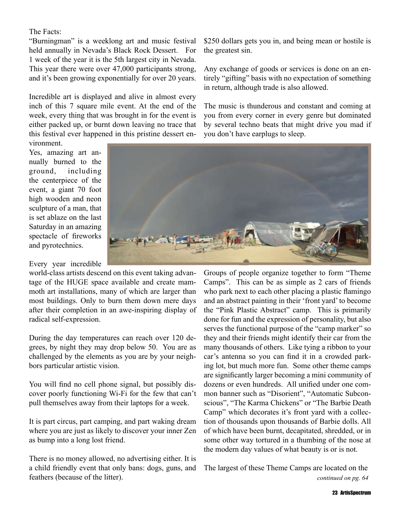## The Facts:

"Burningman" is a weeklong art and music festival held annually in Nevada's Black Rock Dessert. For 1 week of the year it is the 5th largest city in Nevada. This year there were over 47,000 participants strong, and it's been growing exponentially for over 20 years.

Incredible art is displayed and alive in almost every inch of this 7 square mile event. At the end of the week, every thing that was brought in for the event is either packed up, or burnt down leaving no trace that this festival ever happened in this pristine dessert environment.

Yes, amazing art annually burned to the ground, including the centerpiece of the event, a giant 70 foot high wooden and neon sculpture of a man, that is set ablaze on the last Saturday in an amazing spectacle of fireworks and pyrotechnics.

Every year incredible

world-class artists descend on this event taking advantage of the HUGE space available and create mammoth art installations, many of which are larger than most buildings. Only to burn them down mere days after their completion in an awe-inspiring display of radical self-expression.

During the day temperatures can reach over 120 degrees, by night they may drop below 50. You are as challenged by the elements as you are by your neighbors particular artistic vision.

You will find no cell phone signal, but possibly discover poorly functioning Wi-Fi for the few that can't pull themselves away from their laptops for a week.

It is part circus, part camping, and part waking dream where you are just as likely to discover your inner Zen as bump into a long lost friend.

There is no money allowed, no advertising either. It is a child friendly event that only bans: dogs, guns, and feathers (because of the litter).

\$250 dollars gets you in, and being mean or hostile is the greatest sin.

Any exchange of goods or services is done on an entirely "gifting" basis with no expectation of something in return, although trade is also allowed.

The music is thunderous and constant and coming at you from every corner in every genre but dominated by several techno beats that might drive you mad if you don't have earplugs to sleep.



Groups of people organize together to form "Theme Camps". This can be as simple as 2 cars of friends who park next to each other placing a plastic flamingo and an abstract painting in their 'front yard' to become the "Pink Plastic Abstract" camp. This is primarily done for fun and the expression of personality, but also serves the functional purpose of the "camp marker" so they and their friends might identify their car from the many thousands of others. Like tying a ribbon to your car's antenna so you can find it in a crowded parking lot, but much more fun. Some other theme camps are significantly larger becoming a mini community of dozens or even hundreds. All unified under one common banner such as "Disorient", "Automatic Subconscious", "The Karma Chickens" or "The Barbie Death Camp" which decorates it's front yard with a collection of thousands upon thousands of Barbie dolls. All of which have been burnt, decapitated, shredded, or in some other way tortured in a thumbing of the nose at the modern day values of what beauty is or is not.

The largest of these Theme Camps are located on the *continued on pg. 64*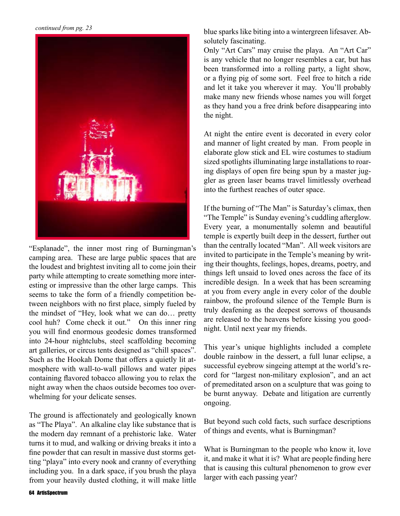*continued from pg. 23*



"Esplanade", the inner most ring of Burningman's camping area. These are large public spaces that are the loudest and brightest inviting all to come join their party while attempting to create something more interesting or impressive than the other large camps. This seems to take the form of a friendly competition between neighbors with no first place, simply fueled by the mindset of "Hey, look what we can do… pretty cool huh? Come check it out." On this inner ring you will find enormous geodesic domes transformed into 24-hour nightclubs, steel scaffolding becoming art galleries, or circus tents designed as "chill spaces". Such as the Hookah Dome that offers a quietly lit atmosphere with wall-to-wall pillows and water pipes containing flavored tobacco allowing you to relax the night away when the chaos outside becomes too overwhelming for your delicate senses.

The ground is affectionately and geologically known as "The Playa". An alkaline clay like substance that is the modern day remnant of a prehistoric lake. Water turns it to mud, and walking or driving breaks it into a fine powder that can result in massive dust storms getting "playa" into every nook and cranny of everything including you. In a dark space, if you brush the playa from your heavily dusted clothing, it will make little blue sparks like biting into a wintergreen lifesaver. Absolutely fascinating.

Only "Art Cars" may cruise the playa. An "Art Car" is any vehicle that no longer resembles a car, but has been transformed into a rolling party, a light show, or a flying pig of some sort. Feel free to hitch a ride and let it take you wherever it may. You'll probably make many new friends whose names you will forget as they hand you a free drink before disappearing into the night.

At night the entire event is decorated in every color and manner of light created by man. From people in elaborate glow stick and EL wire costumes to stadium sized spotlights illuminating large installations to roaring displays of open fire being spun by a master juggler as green laser beams travel limitlessly overhead into the furthest reaches of outer space.

If the burning of "The Man" is Saturday's climax, then "The Temple" is Sunday evening's cuddling afterglow. Every year, a monumentally solemn and beautiful temple is expertly built deep in the dessert, further out than the centrally located "Man". All week visitors are invited to participate in the Temple's meaning by writing their thoughts, feelings, hopes, dreams, poetry, and things left unsaid to loved ones across the face of its incredible design. In a week that has been screaming at you from every angle in every color of the double rainbow, the profound silence of the Temple Burn is truly deafening as the deepest sorrows of thousands are released to the heavens before kissing you goodnight. Until next year my friends.

This year's unique highlights included a complete double rainbow in the dessert, a full lunar eclipse, a successful eyebrow singeing attempt at the world's record for "largest non-military explosion", and an act of premeditated arson on a sculpture that was going to be burnt anyway. Debate and litigation are currently ongoing.

But beyond such cold facts, such surface descriptions of things and events, what is Burningman?

What is Burningman to the people who know it, love it, and make it what it is? What are people finding here that is causing this cultural phenomenon to grow ever larger with each passing year?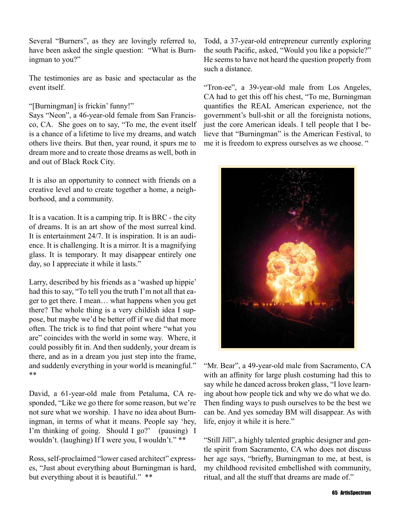Several "Burners", as they are lovingly referred to, have been asked the single question: "What is Burningman to you?"

The testimonies are as basic and spectacular as the event itself.

## "[Burningman] is frickin' funny!"

Says "Neon", a 46-year-old female from San Francisco, CA. She goes on to say, "To me, the event itself is a chance of a lifetime to live my dreams, and watch others live theirs. But then, year round, it spurs me to dream more and to create those dreams as well, both in and out of Black Rock City.

It is also an opportunity to connect with friends on a creative level and to create together a home, a neighborhood, and a community.

It is a vacation. It is a camping trip. It is BRC - the city of dreams. It is an art show of the most surreal kind. It is entertainment 24/7. It is inspiration. It is an audience. It is challenging. It is a mirror. It is a magnifying glass. It is temporary. It may disappear entirely one day, so I appreciate it while it lasts."

Larry, described by his friends as a 'washed up hippie' had this to say, "To tell you the truth I'm not all that eager to get there. I mean… what happens when you get there? The whole thing is a very childish idea I suppose, but maybe we'd be better off if we did that more often. The trick is to find that point where "what you are" coincides with the world in some way. Where, it could possibly fit in. And then suddenly, your dream is there, and as in a dream you just step into the frame, and suddenly everything in your world is meaningful." \*\*

David, a 61-year-old male from Petaluma, CA responded, "Like we go there for some reason, but we're not sure what we worship. I have no idea about Burningman, in terms of what it means. People say 'hey, I'm thinking of going. Should I go?' (pausing) I wouldn't. (laughing) If I were you, I wouldn't." \*\*

Ross, self-proclaimed "lower cased architect" expresses, "Just about everything about Burningman is hard, but everything about it is beautiful." \*\*

Todd, a 37-year-old entrepreneur currently exploring the south Pacific, asked, "Would you like a popsicle?" He seems to have not heard the question properly from such a distance.

"Tron-ee", a 39-year-old male from Los Angeles, CA had to get this off his chest, "To me, Burningman quantifies the REAL American experience, not the government's bull-shit or all the foreignista notions, just the core American ideals. I tell people that I believe that "Burningman" is the American Festival, to me it is freedom to express ourselves as we choose. "

![](_page_3_Picture_11.jpeg)

"Mr. Bear", a 49-year-old male from Sacramento, CA with an affinity for large plush costuming had this to say while he danced across broken glass, "I love learning about how people tick and why we do what we do. Then finding ways to push ourselves to be the best we can be. And yes someday BM will disappear. As with life, enjoy it while it is here."

"Still Jill", a highly talented graphic designer and gentle spirit from Sacramento, CA who does not discuss her age says, "briefly, Burningman to me, at best, is my childhood revisited embellished with community, ritual, and all the stuff that dreams are made of."